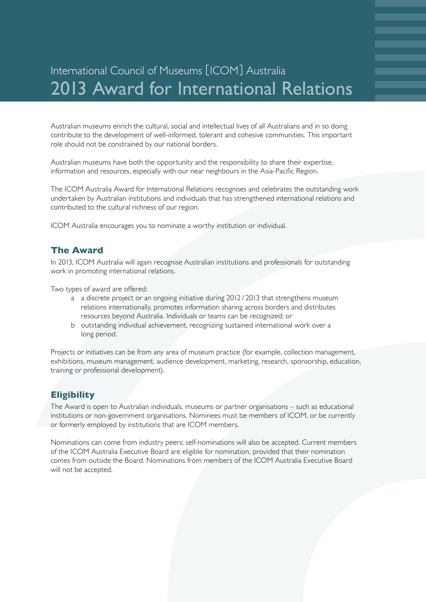# International Council of Museums [ICOM] Australia 2013 Award for International Relations

Australian museums enrich the cultural, social and intellectual lives of all Australians and in so doing contribute to the development of well-informed, tolerant and cohesive communities. This important role should not be constrained by our national borders.

Australian museums have both the opportunity and the responsibility to share their expertise, information and resources, especially with our near neighbours in the Asia-Pacific Region.

The ICOM Australia Award for International Relations recognises and celebrates the outstanding work undertaken by Australian institutions and individuals that has strengthened international relations and contributed to the cultural richness of our region.

ICOM Australia encourages you to nominate a worthy institution or individual.

#### **The Award**

In 2013, ICOM Australia will again recognise Australian institutions and professionals for outstanding work in promoting international relations.

Two types of award are offered:

- a a discrete project or an ongoing initiative during 2012 / 2013 that strengthens museum relations internationally, promotes information sharing across borders and distributes resources beyond Australia. Individuals or teams can be recognized; or
- b outstanding individual achievement, recognizing sustained international work over a long period.

Projects or initiatives can be from any area of museum practice (for example, collection management, exhibitions, museum management, audience development, marketing, research, sponsorship, education, training or professional development).

#### **Eligibility**

The Award is open to Australian individuals, museums or partner organisations – such as educational institutions or non-government organisations. Nominees must be members of ICOM, or be currently or formerly employed by institutions that are ICOM members.

Nominations can come from industry peers; self-nominations will also be accepted. Current members of the ICOM Australia Executive Board are eligible for nomination, provided that their nomination comes from outside the Board. Nominations from members of the ICOM Australia Executive Board will not be accepted.